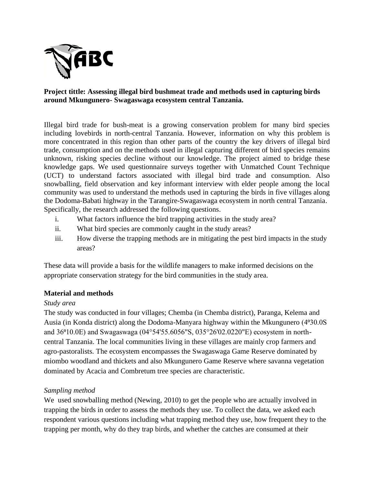

# **Project tittle: Assessing illegal bird bushmeat trade and methods used in capturing birds around Mkungunero- Swagaswaga ecosystem central Tanzania.**

Illegal bird trade for bush-meat is a growing conservation problem for many bird species including lovebirds in north-central Tanzania. However, information on why this problem is more concentrated in this region than other parts of the country the key drivers of illegal bird trade, consumption and on the methods used in illegal capturing different of bird species remains unknown, risking species decline without our knowledge. The project aimed to bridge these knowledge gaps. We used questionnaire surveys together with Unmatched Count Technique (UCT) to understand factors associated with illegal bird trade and consumption. Also snowballing, field observation and key informant interview with elder people among the local community was used to understand the methods used in capturing the birds in five villages along the Dodoma-Babati highway in the Tarangire-Swagaswaga ecosystem in north central Tanzania. Specifically, the research addressed the following questions.

- i. What factors influence the bird trapping activities in the study area?
- ii. What bird species are commonly caught in the study areas?
- iii. How diverse the trapping methods are in mitigating the pest bird impacts in the study areas?

These data will provide a basis for the wildlife managers to make informed decisions on the appropriate conservation strategy for the bird communities in the study area.

# **Material and methods**

# *Study area*

The study was conducted in four villages; Chemba (in Chemba district), Paranga, Kelema and Ausia (in Konda district) along the Dodoma-Manyara highway within the Mkungunero (4°30.0S and 36⁰10.0E) and Swagaswaga (04°54'55.6056"S, 035°26'02.0220"E) ecosystem in northcentral Tanzania. The local communities living in these villages are mainly crop farmers and agro-pastoralists. The ecosystem encompasses the Swagaswaga Game Reserve dominated by miombo woodland and thickets and also Mkungunero Game Reserve where savanna vegetation dominated by Acacia and Combretum tree species are characteristic.

# *Sampling method*

We used snowballing method (Newing, 2010) to get the people who are actually involved in trapping the birds in order to assess the methods they use. To collect the data, we asked each respondent various questions including what trapping method they use, how frequent they to the trapping per month, why do they trap birds, and whether the catches are consumed at their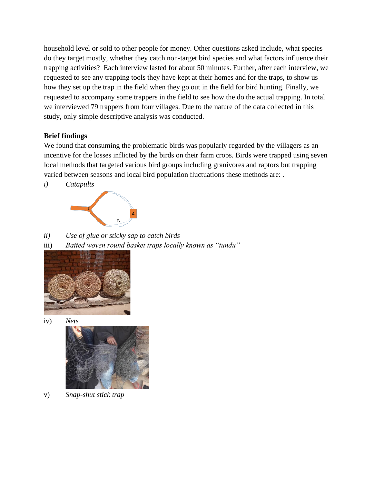household level or sold to other people for money. Other questions asked include, what species do they target mostly, whether they catch non-target bird species and what factors influence their trapping activities? Each interview lasted for about 50 minutes. Further, after each interview, we requested to see any trapping tools they have kept at their homes and for the traps, to show us how they set up the trap in the field when they go out in the field for bird hunting. Finally, we requested to accompany some trappers in the field to see how the do the actual trapping. In total we interviewed 79 trappers from four villages. Due to the nature of the data collected in this study, only simple descriptive analysis was conducted.

# **Brief findings**

We found that consuming the problematic birds was popularly regarded by the villagers as an incentive for the losses inflicted by the birds on their farm crops. Birds were trapped using seven local methods that targeted various bird groups including granivores and raptors but trapping varied between seasons and local bird population fluctuations these methods are: .

*i) Catapults* 



*ii) Use of glue or sticky sap to catch birds* 

iii) *Baited woven round basket traps locally known as "tundu"*







v) *Snap-shut stick trap*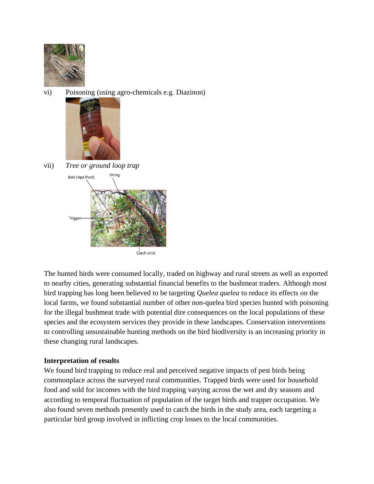

vi) Poisoning (using agro-chemicals e.g. Diazinon)



vii) *Tree or ground loop trap*



The hunted birds were consumed locally, traded on highway and rural streets as well as exported to nearby cities, generating substantial financial benefits to the bushmeat traders. Although most bird trapping has long been believed to be targeting *Quelea quelea* to reduce its effects on the local farms, we found substantial number of other non-quelea bird species hunted with poisoning for the illegal bushmeat trade with potential dire consequences on the local populations of these species and the ecosystem services they provide in these landscapes. Conservation interventions to controlling unsustainable hunting methods on the bird biodiversity is an increasing priority in these changing rural landscapes.

# **Interpretation of results**

We found bird trapping to reduce real and perceived negative impacts of pest birds being commonplace across the surveyed rural communities. Trapped birds were used for household food and sold for incomes with the bird trapping varying across the wet and dry seasons and according to temporal fluctuation of population of the target birds and trapper occupation. We also found seven methods presently used to catch the birds in the study area, each targeting a particular bird group involved in inflicting crop losses to the local communities.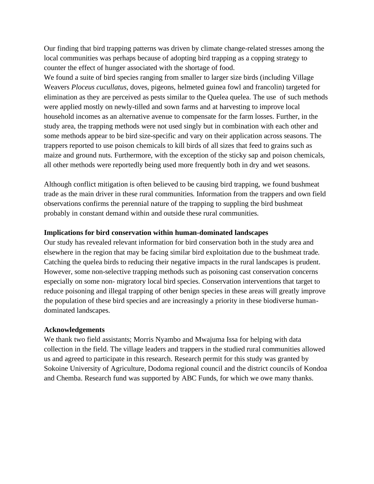Our finding that bird trapping patterns was driven by climate change-related stresses among the local communities was perhaps because of adopting bird trapping as a copping strategy to counter the effect of hunger associated with the shortage of food.

We found a suite of bird species ranging from smaller to larger size birds (including Village Weavers *Ploceus cucullatus*, doves, pigeons, helmeted guinea fowl and francolin) targeted for elimination as they are perceived as pests similar to the Quelea quelea. The use of such methods were applied mostly on newly-tilled and sown farms and at harvesting to improve local household incomes as an alternative avenue to compensate for the farm losses. Further, in the study area, the trapping methods were not used singly but in combination with each other and some methods appear to be bird size-specific and vary on their application across seasons. The trappers reported to use poison chemicals to kill birds of all sizes that feed to grains such as maize and ground nuts. Furthermore, with the exception of the sticky sap and poison chemicals, all other methods were reportedly being used more frequently both in dry and wet seasons.

Although conflict mitigation is often believed to be causing bird trapping, we found bushmeat trade as the main driver in these rural communities. Information from the trappers and own field observations confirms the perennial nature of the trapping to suppling the bird bushmeat probably in constant demand within and outside these rural communities.

### **Implications for bird conservation within human-dominated landscapes**

Our study has revealed relevant information for bird conservation both in the study area and elsewhere in the region that may be facing similar bird exploitation due to the bushmeat trade. Catching the quelea birds to reducing their negative impacts in the rural landscapes is prudent. However, some non-selective trapping methods such as poisoning cast conservation concerns especially on some non- migratory local bird species. Conservation interventions that target to reduce poisoning and illegal trapping of other benign species in these areas will greatly improve the population of these bird species and are increasingly a priority in these biodiverse humandominated landscapes.

### **Acknowledgements**

We thank two field assistants; Morris Nyambo and Mwajuma Issa for helping with data collection in the field. The village leaders and trappers in the studied rural communities allowed us and agreed to participate in this research. Research permit for this study was granted by Sokoine University of Agriculture, Dodoma regional council and the district councils of Kondoa and Chemba. Research fund was supported by ABC Funds, for which we owe many thanks.